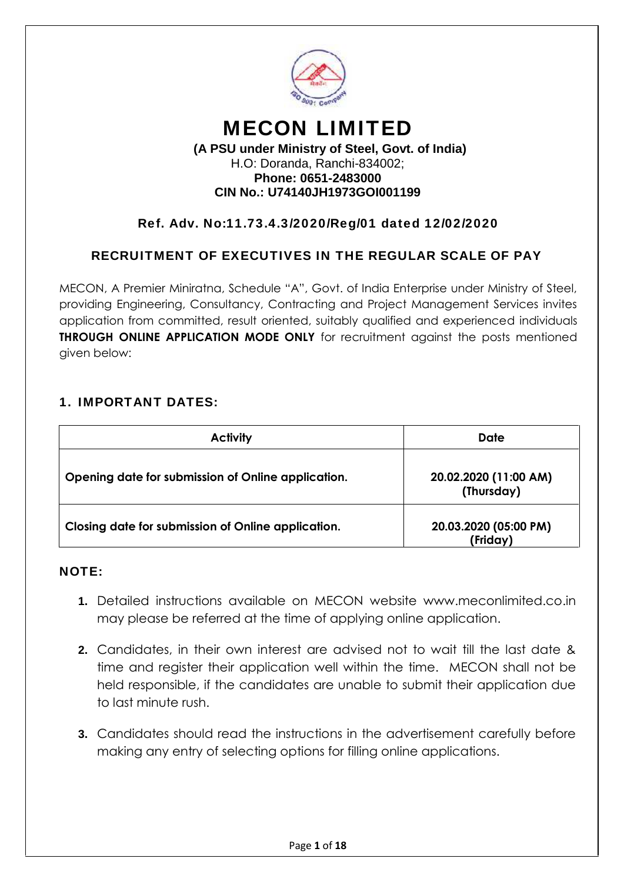

# **MECON LIMITED**

#### **(A PSU under Ministry of Steel, Govt. of India)** H.O: Doranda, Ranchi-834002; **Phone: 0651-2483000 CIN No.: U74140JH1973GOI001199**

# **Ref. Adv. No:11.73.4.3/2020/Reg/01 dated 12/02/2020**

# **RECRUITMENT OF EXECUTIVES IN THE REGULAR SCALE OF PAY**

MECON, A Premier Miniratna, Schedule "A", Govt. of India Enterprise under Ministry of Steel, providing Engineering, Consultancy, Contracting and Project Management Services invites application from committed, result oriented, suitably qualified and experienced individuals **THROUGH ONLINE APPLICATION MODE ONLY** for recruitment against the posts mentioned given below:

## **1. IMPORTANT DATES:**

| <b>Activity</b>                                    | Date                                |
|----------------------------------------------------|-------------------------------------|
| Opening date for submission of Online application. | 20.02.2020 (11:00 AM)<br>(Thursday) |
| Closing date for submission of Online application. | 20.03.2020 (05:00 PM)<br>(Friday)   |

#### **NOTE:**

- **1.** Detailed instructions available on MECON website www.meconlimited.co.in may please be referred at the time of applying online application.
- **2.** Candidates, in their own interest are advised not to wait till the last date & time and register their application well within the time. MECON shall not be held responsible, if the candidates are unable to submit their application due to last minute rush.
- **3.** Candidates should read the instructions in the advertisement carefully before making any entry of selecting options for filling online applications.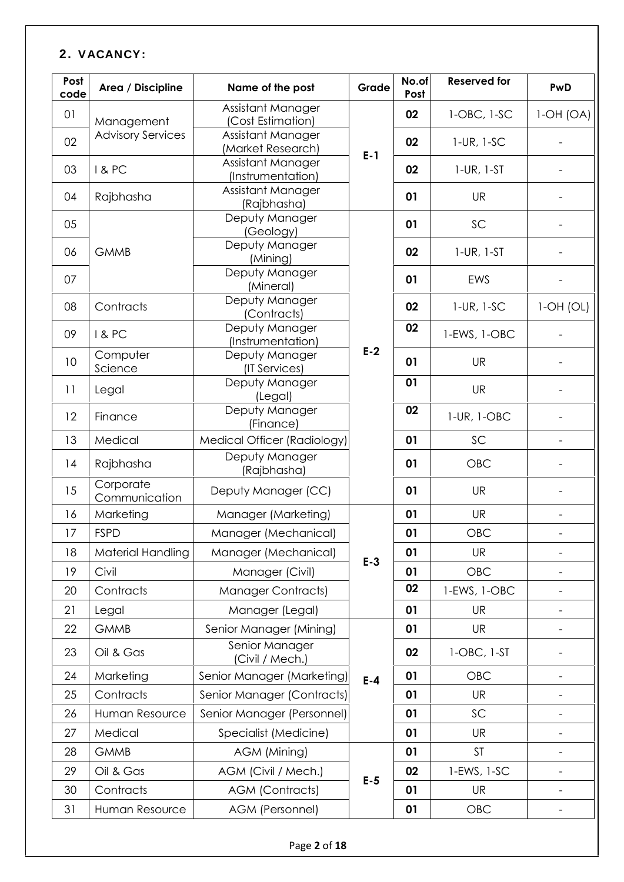# **2. VACANCY:**

| Post<br>code | Area / Discipline          | Name of the post                       | Grade   | No.of<br>Post | <b>Reserved for</b> | PwD                      |
|--------------|----------------------------|----------------------------------------|---------|---------------|---------------------|--------------------------|
| 01           | Management                 | Assistant Manager<br>(Cost Estimation) |         | 02            | 1-OBC, 1-SC         | $1-OH(OA)$               |
| 02           | <b>Advisory Services</b>   | Assistant Manager<br>(Market Research) |         | 02            | $1$ -UR, $1$ -SC    |                          |
| 03           | <b>1&amp;PC</b>            | Assistant Manager<br>(Instrumentation) | $E-1$   | 02            | $1$ -UR, $1$ -ST    |                          |
| 04           | Rajbhasha                  | Assistant Manager<br>(Rajbhasha)       |         | 01            | <b>UR</b>           |                          |
| 05           |                            | Deputy Manager<br>(Geology)            |         | 01            | SC                  |                          |
| 06           | <b>GMMB</b>                | Deputy Manager<br>(Mining)             |         | 02            | $1$ -UR, $1$ -ST    |                          |
| 07           |                            | Deputy Manager<br>(Mineral)            |         | 01            | EWS                 |                          |
| 08           | Contracts                  | Deputy Manager<br>(Contracts)          |         | 02            | $1$ -UR, $1$ -SC    | $1$ -OH $(OL)$           |
| 09           | I&PC                       | Deputy Manager<br>(Instrumentation)    |         | 02            | 1-EWS, 1-OBC        |                          |
| 10           | Computer<br>Science        | Deputy Manager<br>(IT Services)        | $E-2$   | 01            | <b>UR</b>           |                          |
| 11           | Legal                      | Deputy Manager<br>(Legal)              |         | 01            | <b>UR</b>           |                          |
| 12           | Finance                    | Deputy Manager<br>(Finance)            |         | 02            | 1-UR, 1-OBC         |                          |
| 13           | Medical                    | Medical Officer (Radiology)            |         | 01            | SC                  | $\overline{\phantom{a}}$ |
| 14           | Rajbhasha                  | Deputy Manager<br>(Rajbhasha)          |         | 01            | <b>OBC</b>          |                          |
| 15           | Corporate<br>Communication | Deputy Manager (CC)                    |         | 01            | <b>UR</b>           |                          |
| 16           | Marketing                  | Manager (Marketing)                    |         | 01            | <b>UR</b>           | $\overline{a}$           |
| 17           | <b>FSPD</b>                | Manager (Mechanical)                   |         | 01            | OBC                 |                          |
| 18           | Material Handling          | Manager (Mechanical)                   |         | 01            | UR                  | $\qquad \qquad -$        |
| 19           | Civil                      | Manager (Civil)                        | $E-3$   | 01            | OBC                 | $\qquad \qquad -$        |
| 20           | Contracts                  | <b>Manager Contracts)</b>              |         | 02            | 1-EWS, 1-OBC        | $\qquad \qquad -$        |
| 21           | Legal                      | Manager (Legal)                        |         | 01            | <b>UR</b>           | $\overline{\phantom{a}}$ |
| 22           | <b>GMMB</b>                | Senior Manager (Mining)                |         | 01            | <b>UR</b>           | $\overline{a}$           |
| 23           | Oil & Gas                  | Senior Manager<br>(Civil / Mech.)      |         | 02            | 1-OBC, 1-ST         |                          |
| 24           | Marketing                  | Senior Manager (Marketing)             | $E - 4$ | 01            | OBC                 | $\overline{a}$           |
| 25           | Contracts                  | Senior Manager (Contracts)             |         | 01            | <b>UR</b>           | $\overline{\phantom{0}}$ |
| 26           | Human Resource             | Senior Manager (Personnel)             |         | 01            | SC                  | $\overline{a}$           |
| 27           | Medical                    | Specialist (Medicine)                  |         | 01            | UR                  | $\overline{\phantom{0}}$ |
| 28           | <b>GMMB</b>                | AGM (Mining)                           |         | 01            | <b>ST</b>           | $\overline{\phantom{a}}$ |
| 29           | Oil & Gas                  | AGM (Civil / Mech.)                    |         | 02            | 1-EWS, 1-SC         | $\qquad \qquad -$        |
| 30           | Contracts                  | <b>AGM (Contracts)</b>                 | $E-5$   | 01            | <b>UR</b>           | $\qquad \qquad -$        |
| 31           | Human Resource             | AGM (Personnel)                        |         | 01            | OBC                 | $\overline{\phantom{0}}$ |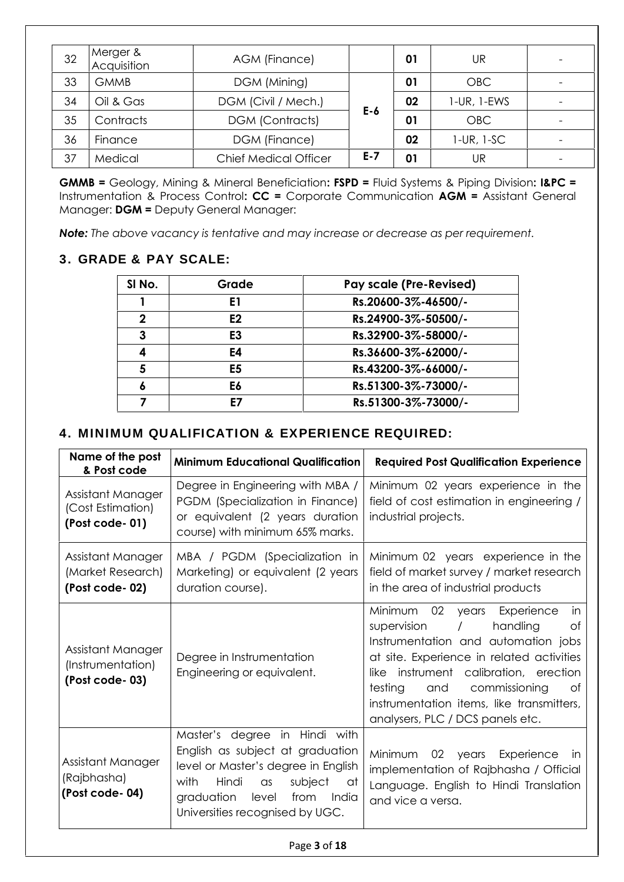| 32 | Merger &<br>Acquisition | AGM (Finance)                |         | 01 | UR                |  |
|----|-------------------------|------------------------------|---------|----|-------------------|--|
| 33 | <b>GMMB</b>             | DGM (Mining)                 |         | 01 | <b>OBC</b>        |  |
| 34 | Oil & Gas               | DGM (Civil / Mech.)          |         | 02 | $1$ -UR, $1$ -EWS |  |
| 35 | Contracts               | <b>DGM (Contracts)</b>       | $E-6$   | 01 | <b>OBC</b>        |  |
| 36 | Finance                 | DGM (Finance)                |         | 02 | $1$ -UR, $1$ -SC  |  |
| 37 | Medical                 | <b>Chief Medical Officer</b> | $E - 7$ | 01 | UR                |  |

**GMMB =** Geology, Mining & Mineral Beneficiation**: FSPD =** Fluid Systems & Piping Division**: I&PC =** Instrumentation & Process Control**: CC =** Corporate Communication **AGM =** Assistant General Manager: **DGM =** Deputy General Manager:

*Note: The above vacancy is tentative and may increase or decrease as per requirement.*

# **3. GRADE & PAY SCALE:**

| SI No. | Grade          | <b>Pay scale (Pre-Revised)</b> |
|--------|----------------|--------------------------------|
|        | E1             | Rs.20600-3%-46500/-            |
| 2      | E <sub>2</sub> | Rs.24900-3%-50500/-            |
| 3      | E <sub>3</sub> | Rs.32900-3%-58000/-            |
|        | E4             | Rs.36600-3%-62000/-            |
| 5      | E5             | Rs.43200-3%-66000/-            |
|        | E6             | Rs.51300-3%-73000/-            |
|        | E7             | Rs.51300-3%-73000/-            |

## **4. MINIMUM QUALIFICATION & EXPERIENCE REQUIRED:**

| Name of the post<br>& Post code                            | <b>Minimum Educational Qualification</b>                                                                                                                                                                                            | <b>Required Post Qualification Experience</b>                                                                                                                                                                                                                                                                                                 |
|------------------------------------------------------------|-------------------------------------------------------------------------------------------------------------------------------------------------------------------------------------------------------------------------------------|-----------------------------------------------------------------------------------------------------------------------------------------------------------------------------------------------------------------------------------------------------------------------------------------------------------------------------------------------|
| Assistant Manager<br>(Cost Estimation)<br>(Post code-01)   | Degree in Engineering with MBA /<br>PGDM (Specialization in Finance)<br>or equivalent (2 years duration<br>course) with minimum 65% marks.                                                                                          | Minimum 02 years experience in the<br>field of cost estimation in engineering /<br>industrial projects.                                                                                                                                                                                                                                       |
| Assistant Manager<br>(Market Research)<br>(Post code - 02) | MBA / PGDM (Specialization in<br>Marketing) or equivalent (2 years<br>duration course).                                                                                                                                             | Minimum 02 years experience in the<br>field of market survey / market research<br>in the area of industrial products                                                                                                                                                                                                                          |
| Assistant Manager<br>(Instrumentation)<br>(Post code-03)   | Degree in Instrumentation<br>Engineering or equivalent.                                                                                                                                                                             | 02<br>Minimum<br>years Experience<br>in<br>of<br>handling<br>supervision<br>$\sqrt{2}$<br>Instrumentation and automation jobs<br>at site. Experience in related activities<br>like instrument calibration, erection<br>testing<br>of<br>and<br>commissioning<br>instrumentation items, like transmitters,<br>analysers, PLC / DCS panels etc. |
| Assistant Manager<br>(Rajbhasha)<br>(Post code-04)         | Master's degree in Hindi with<br>English as subject at graduation<br>level or Master's degree in English<br>with<br>Hindi<br>subject<br>$\alpha$ s<br>at<br>graduation<br>from<br>level<br>India<br>Universities recognised by UGC. | Minimum<br>02 years Experience<br>- in<br>implementation of Rajbhasha / Official<br>Language. English to Hindi Translation<br>and vice a versa.                                                                                                                                                                                               |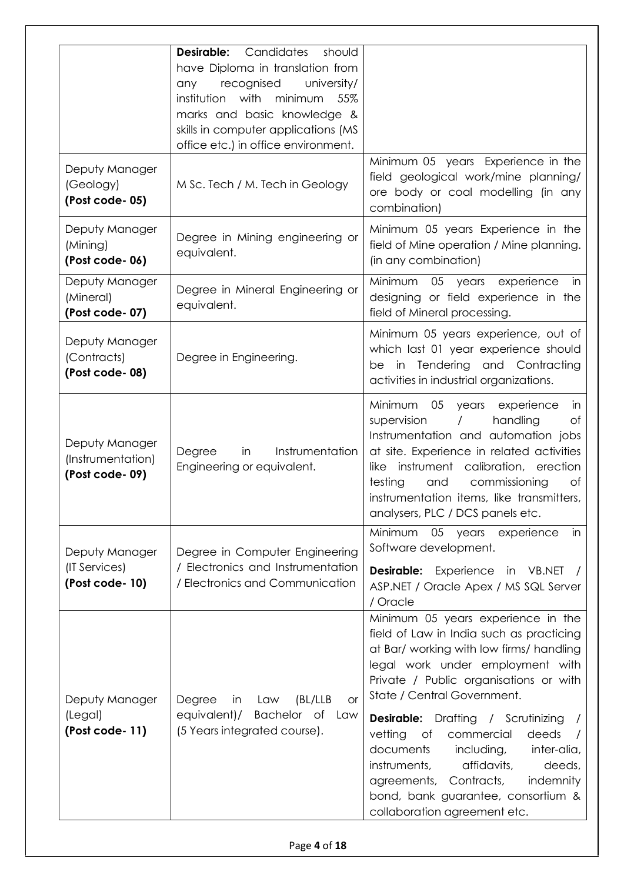| Deputy Manager<br>(Geology)<br>(Post code-05)         | Candidates<br>Desirable:<br>should<br>have Diploma in translation from<br>recognised<br>university/<br>any<br>institution with<br>minimum<br>55%<br>marks and basic knowledge &<br>skills in computer applications (MS<br>office etc.) in office environment.<br>M Sc. Tech / M. Tech in Geology | Minimum 05 years Experience in the<br>field geological work/mine planning/<br>ore body or coal modelling (in any                                                                                                                                                                                                                                                                                                                                                                                                             |
|-------------------------------------------------------|--------------------------------------------------------------------------------------------------------------------------------------------------------------------------------------------------------------------------------------------------------------------------------------------------|------------------------------------------------------------------------------------------------------------------------------------------------------------------------------------------------------------------------------------------------------------------------------------------------------------------------------------------------------------------------------------------------------------------------------------------------------------------------------------------------------------------------------|
| Deputy Manager<br>(Mining)<br>(Post code-06)          | Degree in Mining engineering or<br>equivalent.                                                                                                                                                                                                                                                   | combination)<br>Minimum 05 years Experience in the<br>field of Mine operation / Mine planning.<br>(in any combination)                                                                                                                                                                                                                                                                                                                                                                                                       |
| Deputy Manager<br>(Mineral)<br>(Post code-07)         | Degree in Mineral Engineering or<br>equivalent.                                                                                                                                                                                                                                                  | Minimum<br>05 years<br>experience<br>in<br>designing or field experience in the<br>field of Mineral processing.                                                                                                                                                                                                                                                                                                                                                                                                              |
| Deputy Manager<br>(Contracts)<br>(Post code-08)       | Degree in Engineering.                                                                                                                                                                                                                                                                           | Minimum 05 years experience, out of<br>which last 01 year experience should<br>be in Tendering and Contracting<br>activities in industrial organizations.                                                                                                                                                                                                                                                                                                                                                                    |
| Deputy Manager<br>(Instrumentation)<br>(Post code-09) | Instrumentation<br>Degree<br>in<br>Engineering or equivalent.                                                                                                                                                                                                                                    | Minimum<br>05 years experience<br>in<br>handling<br>of<br>supervision<br>Instrumentation and automation jobs<br>at site. Experience in related activities<br>like instrument calibration, erection<br>testing<br>commissioning<br>Оf<br>and<br>instrumentation items, like transmitters,<br>analysers, PLC / DCS panels etc.                                                                                                                                                                                                 |
| Deputy Manager<br>(IT Services)<br>(Post code-10)     | Degree in Computer Engineering<br>/ Electronics and Instrumentation<br>/ Electronics and Communication                                                                                                                                                                                           | Minimum<br>05 years experience<br>in<br>Software development.<br><b>Desirable:</b> Experience in VB.NET<br>ASP.NET / Oracle Apex / MS SQL Server<br>/ Oracle                                                                                                                                                                                                                                                                                                                                                                 |
| Deputy Manager<br>(Legal)<br>(Post code-11)           | (BL/LLB<br>Degree<br>in<br>Law<br><b>or</b><br>Bachelor of Law<br>equivalent)/<br>(5 Years integrated course).                                                                                                                                                                                   | Minimum 05 years experience in the<br>field of Law in India such as practicing<br>at Bar/ working with low firms/ handling<br>legal work under employment with<br>Private / Public organisations or with<br>State / Central Government.<br><b>Desirable:</b> Drafting / Scrutinizing<br>vetting<br>deeds<br>of<br>commercial<br>documents<br>including,<br>inter-alia,<br>instruments,<br>affidavits,<br>deeds,<br>agreements, Contracts,<br>indemnity<br>bond, bank guarantee, consortium &<br>collaboration agreement etc. |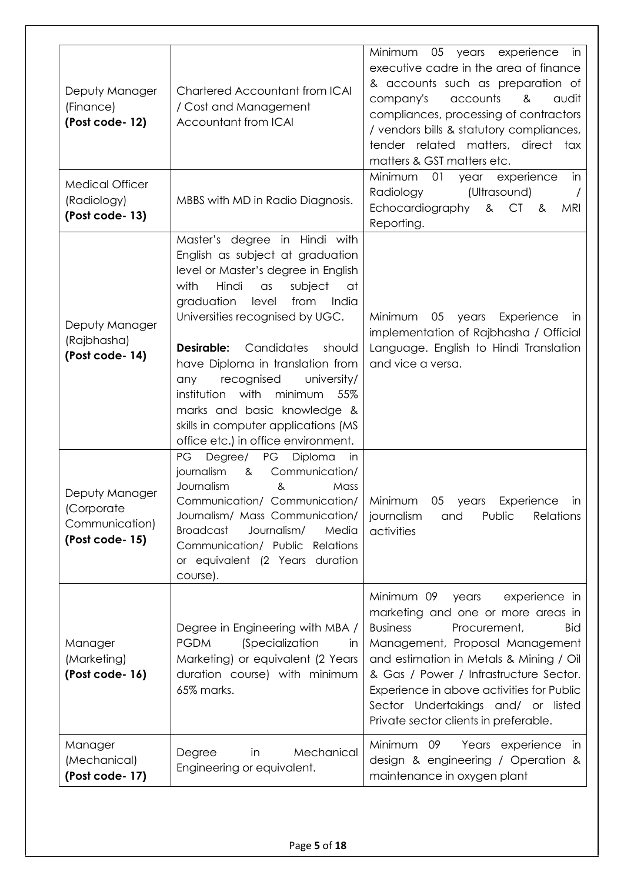| Deputy Manager<br>(Finance)<br>(Post code-12)<br><b>Medical Officer</b><br>(Radiology)<br>(Post code-13) | Chartered Accountant from ICAI<br>/ Cost and Management<br>Accountant from ICAI<br>MBBS with MD in Radio Diagnosis.                                                                                                                                                                                                                                                                                                                                                                                  | Minimum<br>05<br>years<br>experience<br>in<br>executive cadre in the area of finance<br>& accounts such as preparation of<br>accounts<br>company's<br>&<br>audit<br>compliances, processing of contractors<br>/ vendors bills & statutory compliances,<br>tender related matters, direct tax<br>matters & GST matters etc.<br>Minimum<br>01<br>in<br>experience<br>year<br>Radiology<br>(Ultrasound)<br>Echocardiography<br>MRI<br>& CT<br>_&<br>Reporting. |
|----------------------------------------------------------------------------------------------------------|------------------------------------------------------------------------------------------------------------------------------------------------------------------------------------------------------------------------------------------------------------------------------------------------------------------------------------------------------------------------------------------------------------------------------------------------------------------------------------------------------|-------------------------------------------------------------------------------------------------------------------------------------------------------------------------------------------------------------------------------------------------------------------------------------------------------------------------------------------------------------------------------------------------------------------------------------------------------------|
| Deputy Manager<br>(Rajbhasha)<br>(Post code-14)                                                          | Master's degree in Hindi with<br>English as subject at graduation<br>level or Master's degree in English<br>with<br>Hindi<br>subject<br>$\alpha$ s<br>at<br>graduation<br>from<br>level<br>India<br>Universities recognised by UGC.<br>Desirable:<br>Candidates<br>should<br>have Diploma in translation from<br>recognised<br>university/<br>any<br>institution with<br>minimum<br>55%<br>marks and basic knowledge &<br>skills in computer applications (MS<br>office etc.) in office environment. | Minimum<br>05<br>years<br>Experience<br>in<br>implementation of Rajbhasha / Official<br>Language. English to Hindi Translation<br>and vice a versa.                                                                                                                                                                                                                                                                                                         |
| Deputy Manager<br>(Corporate<br>Communication)<br>(Post code-15)                                         | Degree/<br>PG<br>Diploma<br>PG<br>in<br>journalism<br>Communication/<br>&<br>Journalism<br>&<br>Mass<br>Communication/ Communication/<br>Journalism/ Mass Communication/<br><b>Broadcast</b><br>Journalism/<br>Media<br>Communication/ Public Relations<br>or equivalent (2 Years duration<br>course).                                                                                                                                                                                               | Minimum<br>05 years<br>Experience<br>in<br><b>Relations</b><br>journalism<br>Public<br>and<br>activities                                                                                                                                                                                                                                                                                                                                                    |
| Manager<br>(Marketing)<br>(Post code-16)                                                                 | Degree in Engineering with MBA /<br><b>PGDM</b><br><i>(Specialization</i><br>in.<br>Marketing) or equivalent (2 Years<br>duration course) with minimum<br>65% marks.                                                                                                                                                                                                                                                                                                                                 | Minimum 09<br>experience in<br>years<br>marketing and one or more areas in<br><b>Business</b><br>Procurement,<br>Bid<br>Management, Proposal Management<br>and estimation in Metals & Mining / Oil<br>& Gas / Power / Infrastructure Sector.<br>Experience in above activities for Public<br>Sector Undertakings and/ or listed<br>Private sector clients in preferable.                                                                                    |
| Manager<br>(Mechanical)<br>(Post code-17)                                                                | Mechanical<br>Degree<br>in<br>Engineering or equivalent.                                                                                                                                                                                                                                                                                                                                                                                                                                             | Minimum 09<br>Years experience in<br>design & engineering / Operation &<br>maintenance in oxygen plant                                                                                                                                                                                                                                                                                                                                                      |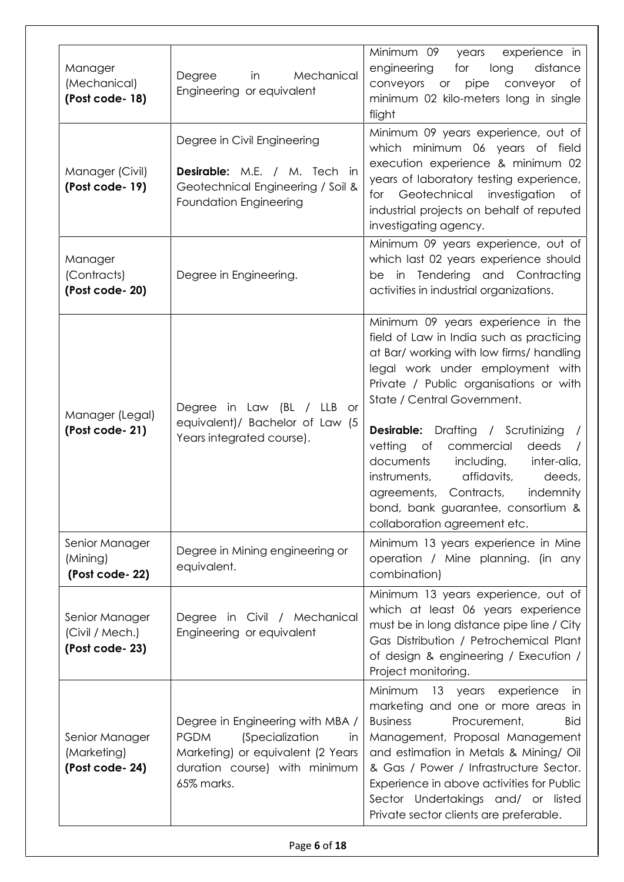| Manager<br>(Mechanical)<br>(Post code-18)           | Degree<br>in<br>Mechanical<br>Engineering or equivalent                                                                                                                    | Minimum 09<br>experience in<br>years<br>engineering<br>for<br>long<br>distance<br>conveyors or pipe<br>conveyor<br>of<br>minimum 02 kilo-meters long in single<br>flight                                                                                                                                                                                                                                                                                                                                                     |
|-----------------------------------------------------|----------------------------------------------------------------------------------------------------------------------------------------------------------------------------|------------------------------------------------------------------------------------------------------------------------------------------------------------------------------------------------------------------------------------------------------------------------------------------------------------------------------------------------------------------------------------------------------------------------------------------------------------------------------------------------------------------------------|
| Manager (Civil)<br>(Post code-19)                   | Degree in Civil Engineering<br><b>Desirable:</b> M.E. / M. Tech in<br>Geotechnical Engineering / Soil &<br>Foundation Engineering                                          | Minimum 09 years experience, out of<br>which minimum 06 years of field<br>execution experience & minimum 02<br>years of laboratory testing experience,<br>for Geotechnical investigation<br>Оf<br>industrial projects on behalf of reputed<br>investigating agency.                                                                                                                                                                                                                                                          |
| Manager<br>(Contracts)<br>(Post code-20)            | Degree in Engineering.                                                                                                                                                     | Minimum 09 years experience, out of<br>which last 02 years experience should<br>be in Tendering and Contracting<br>activities in industrial organizations.                                                                                                                                                                                                                                                                                                                                                                   |
| Manager (Legal)<br>(Post code-21)                   | Degree in Law (BL / LLB or<br>equivalent)/ Bachelor of Law (5<br>Years integrated course).                                                                                 | Minimum 09 years experience in the<br>field of Law in India such as practicing<br>at Bar/ working with low firms/ handling<br>legal work under employment with<br>Private / Public organisations or with<br>State / Central Government.<br><b>Desirable:</b> Drafting / Scrutinizing<br>vetting<br>deeds<br>of<br>commercial<br>documents<br>including,<br>inter-alia,<br>instruments,<br>affidavits,<br>deeds,<br>agreements, Contracts,<br>indemnity<br>bond, bank guarantee, consortium &<br>collaboration agreement etc. |
| Senior Manager<br>(Mining)<br>(Post code-22)        | Degree in Mining engineering or<br>equivalent.                                                                                                                             | Minimum 13 years experience in Mine<br>operation / Mine planning. (in any<br>combination)                                                                                                                                                                                                                                                                                                                                                                                                                                    |
| Senior Manager<br>(Civil / Mech.)<br>(Post code-23) | Degree in Civil / Mechanical<br>Engineering or equivalent                                                                                                                  | Minimum 13 years experience, out of<br>which at least 06 years experience<br>must be in long distance pipe line / City<br>Gas Distribution / Petrochemical Plant<br>of design & engineering / Execution /<br>Project monitoring.                                                                                                                                                                                                                                                                                             |
| Senior Manager<br>(Marketing)<br>(Post code-24)     | Degree in Engineering with MBA /<br><i>(Specialization</i><br><b>PGDM</b><br><i>in</i><br>Marketing) or equivalent (2 Years<br>duration course) with minimum<br>65% marks. | Minimum 13 years experience<br>- in<br>marketing and one or more areas in<br><b>Business</b><br>Procurement,<br><b>Bid</b><br>Management, Proposal Management<br>and estimation in Metals & Mining/ Oil<br>& Gas / Power / Infrastructure Sector.<br>Experience in above activities for Public<br>Sector Undertakings and/ or listed<br>Private sector clients are preferable.                                                                                                                                               |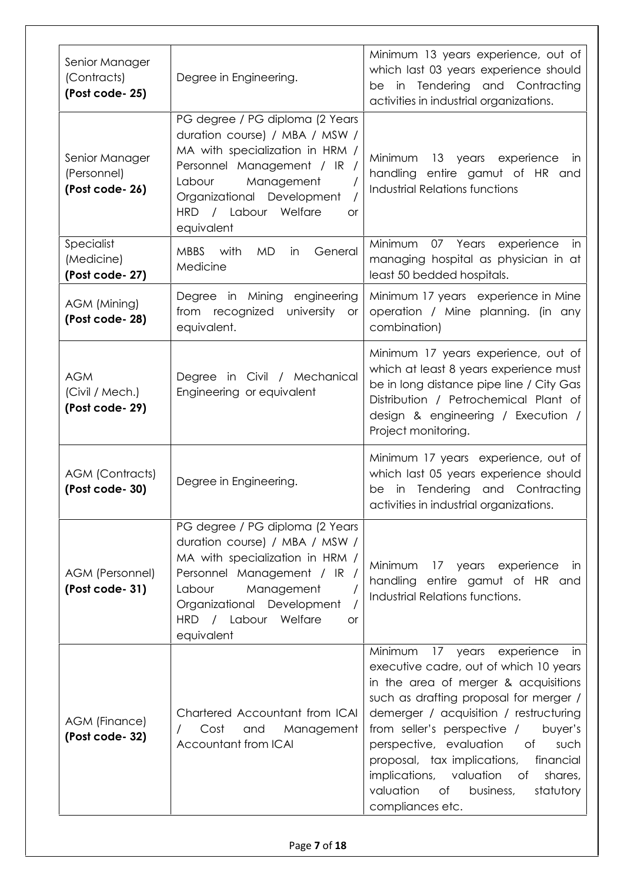| Senior Manager<br>(Contracts)<br>(Post code-25) | Degree in Engineering.                                                                                                                                                                                                                       | Minimum 13 years experience, out of<br>which last 03 years experience should<br>be in Tendering and Contracting<br>activities in industrial organizations.                                                                                                                                                                                                                                                                                                            |
|-------------------------------------------------|----------------------------------------------------------------------------------------------------------------------------------------------------------------------------------------------------------------------------------------------|-----------------------------------------------------------------------------------------------------------------------------------------------------------------------------------------------------------------------------------------------------------------------------------------------------------------------------------------------------------------------------------------------------------------------------------------------------------------------|
| Senior Manager<br>(Personnel)<br>(Post code-26) | PG degree / PG diploma (2 Years<br>duration course) / MBA / MSW /<br>MA with specialization in HRM /<br>Personnel Management / IR /<br>Labour<br>Management<br>Organizational Development<br>HRD / Labour Welfare<br>or<br>equivalent        | Minimum<br>13 years experience<br>IN.<br>handling entire gamut of HR and<br><b>Industrial Relations functions</b>                                                                                                                                                                                                                                                                                                                                                     |
| Specialist<br>(Medicine)<br>(Post code-27)      | <b>MBBS</b><br>with<br><b>MD</b><br>General<br>in<br>Medicine                                                                                                                                                                                | Minimum<br>Years<br>experience<br>07<br>in<br>managing hospital as physician in at<br>least 50 bedded hospitals.                                                                                                                                                                                                                                                                                                                                                      |
| AGM (Mining)<br>(Post code-28)                  | Degree in Mining engineering<br>from recognized<br>university or<br>equivalent.                                                                                                                                                              | Minimum 17 years experience in Mine<br>operation / Mine planning. (in any<br>combination)                                                                                                                                                                                                                                                                                                                                                                             |
| <b>AGM</b><br>(Civil / Mech.)<br>(Post code-29) | Degree in Civil / Mechanical<br>Engineering or equivalent                                                                                                                                                                                    | Minimum 17 years experience, out of<br>which at least 8 years experience must<br>be in long distance pipe line / City Gas<br>Distribution / Petrochemical Plant of<br>design & engineering / Execution /<br>Project monitoring.                                                                                                                                                                                                                                       |
| <b>AGM (Contracts)</b><br>(Post code-30)        | Degree in Engineering.                                                                                                                                                                                                                       | Minimum 17 years experience, out of<br>which last 05 years experience should<br>in Tendering and Contracting<br>be<br>activities in industrial organizations.                                                                                                                                                                                                                                                                                                         |
| AGM (Personnel)<br>(Post code-31)               | PG degree / PG diploma (2 Years<br>duration course) / MBA / MSW /<br>MA with specialization in HRM /<br>Personnel Management / IR /<br>Management<br>Labour<br>Organizational Development<br>HRD / Labour Welfare<br><b>or</b><br>equivalent | 17 years experience<br>Minimum<br>- in<br>handling entire gamut of HR and<br>Industrial Relations functions.                                                                                                                                                                                                                                                                                                                                                          |
| AGM (Finance)<br>(Post code-32)                 | Chartered Accountant from ICAI<br>Cost<br>and<br>Management<br>Accountant from ICAI                                                                                                                                                          | Minimum<br>17 years<br>experience<br>in.<br>executive cadre, out of which 10 years<br>in the area of merger & acquisitions<br>such as drafting proposal for merger /<br>demerger / acquisition / restructuring<br>from seller's perspective /<br>buyer's<br>perspective, evaluation<br>such<br>of<br>proposal, tax implications,<br>financial<br>implications,<br>valuation<br>shares,<br>$\circ$ of<br>valuation<br>of<br>business,<br>statutory<br>compliances etc. |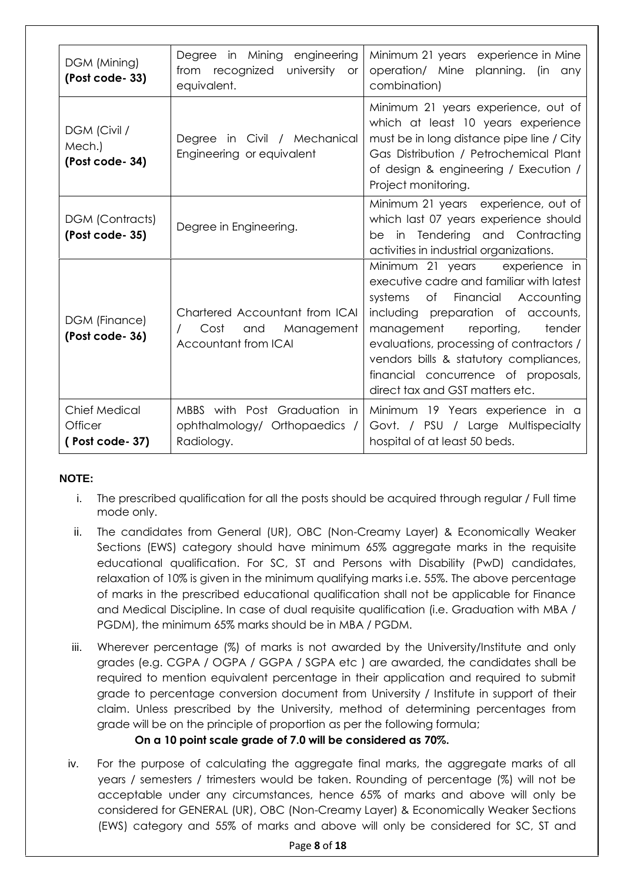| DGM (Mining)<br>(Post code-33)                      | Degree in Mining engineering<br>from recognized<br>university<br><b>or</b><br>equivalent. | Minimum 21 years experience in Mine<br>operation/ Mine planning. (in any<br>combination)                                                                                                                                                                                                                                                                        |
|-----------------------------------------------------|-------------------------------------------------------------------------------------------|-----------------------------------------------------------------------------------------------------------------------------------------------------------------------------------------------------------------------------------------------------------------------------------------------------------------------------------------------------------------|
| DGM (Civil /<br>Mech.)<br>(Post code-34)            | Degree in Civil / Mechanical<br>Engineering or equivalent                                 | Minimum 21 years experience, out of<br>which at least 10 years experience<br>must be in long distance pipe line / City<br>Gas Distribution / Petrochemical Plant<br>of design & engineering / Execution /<br>Project monitoring.                                                                                                                                |
| <b>DGM (Contracts)</b><br>(Post code-35)            | Degree in Engineering.                                                                    | Minimum 21 years experience, out of<br>which last 07 years experience should<br>be in Tendering and Contracting<br>activities in industrial organizations.                                                                                                                                                                                                      |
| DGM (Finance)<br>(Post code-36)                     | Chartered Accountant from ICAI<br>Cost<br>and<br>Management<br>Accountant from ICAI       | Minimum 21 years<br>experience in<br>executive cadre and familiar with latest<br>of Financial Accounting<br>systems<br>including preparation of accounts,<br>reporting,<br>tender<br>management<br>evaluations, processing of contractors /<br>vendors bills & statutory compliances,<br>financial concurrence of proposals,<br>direct tax and GST matters etc. |
| <b>Chief Medical</b><br>Officer<br>(Post code - 37) | MBBS with Post Graduation in<br>ophthalmology/ Orthopaedics /<br>Radiology.               | Minimum 19 Years experience in a<br>Govt. / PSU / Large Multispecialty<br>hospital of at least 50 beds.                                                                                                                                                                                                                                                         |

## **NOTE:**

- i. The prescribed qualification for all the posts should be acquired through regular / Full time mode only.
- ii. The candidates from General (UR), OBC (Non-Creamy Layer) & Economically Weaker Sections (EWS) category should have minimum 65% aggregate marks in the requisite educational qualification. For SC, ST and Persons with Disability (PwD) candidates, relaxation of 10% is given in the minimum qualifying marks i.e. 55%. The above percentage of marks in the prescribed educational qualification shall not be applicable for Finance and Medical Discipline. In case of dual requisite qualification (i.e. Graduation with MBA / PGDM), the minimum 65% marks should be in MBA / PGDM.
- iii. Wherever percentage (%) of marks is not awarded by the University/Institute and only grades (e.g. CGPA / OGPA / GGPA / SGPA etc ) are awarded, the candidates shall be required to mention equivalent percentage in their application and required to submit grade to percentage conversion document from University / Institute in support of their claim. Unless prescribed by the University, method of determining percentages from grade will be on the principle of proportion as per the following formula;

## **On a 10 point scale grade of 7.0 will be considered as 70%.**

iv. For the purpose of calculating the aggregate final marks, the aggregate marks of all years / semesters / trimesters would be taken. Rounding of percentage (%) will not be acceptable under any circumstances, hence 65% of marks and above will only be considered for GENERAL (UR), OBC (Non-Creamy Layer) & Economically Weaker Sections (EWS) category and 55% of marks and above will only be considered for SC, ST and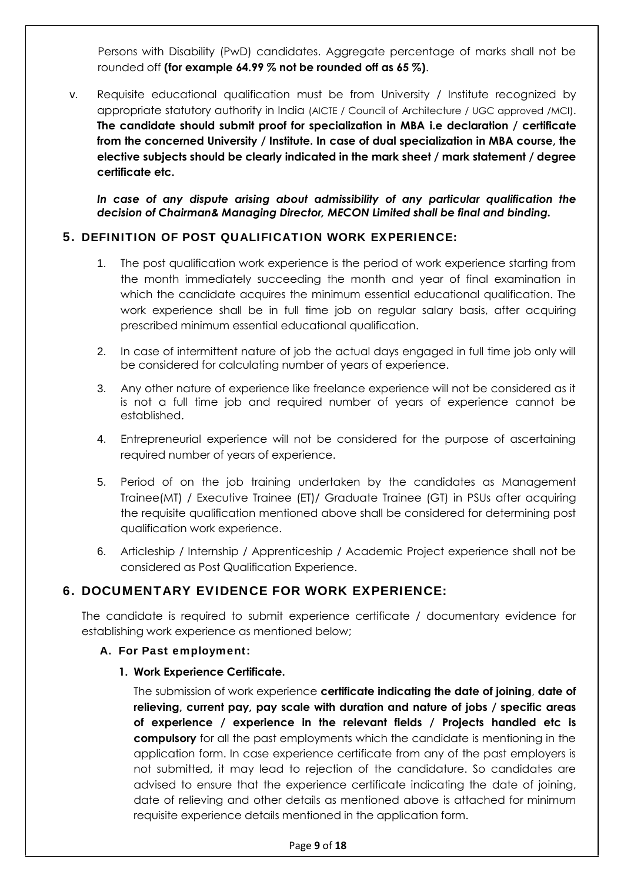Persons with Disability (PwD) candidates. Aggregate percentage of marks shall not be rounded off **(for example 64.99 % not be rounded off as 65 %)**.

v. Requisite educational qualification must be from University / Institute recognized by appropriate statutory authority in India (AICTE / Council of Architecture / UGC approved /MCI). **The candidate should submit proof for specialization in MBA i.e declaration / certificate from the concerned University / Institute. In case of dual specialization in MBA course, the elective subjects should be clearly indicated in the mark sheet / mark statement / degree certificate etc.**

*In case of any dispute arising about admissibility of any particular qualification the decision of Chairman& Managing Director, MECON Limited shall be final and binding.*

#### **5. DEFINITION OF POST QUALIFICATION WORK EXPERIENCE:**

- 1. The post qualification work experience is the period of work experience starting from the month immediately succeeding the month and year of final examination in which the candidate acquires the minimum essential educational qualification. The work experience shall be in full time job on regular salary basis, after acquiring prescribed minimum essential educational qualification.
- 2. In case of intermittent nature of job the actual days engaged in full time job only will be considered for calculating number of years of experience.
- 3. Any other nature of experience like freelance experience will not be considered as it is not a full time job and required number of years of experience cannot be established.
- 4. Entrepreneurial experience will not be considered for the purpose of ascertaining required number of years of experience.
- 5. Period of on the job training undertaken by the candidates as Management Trainee(MT) / Executive Trainee (ET)/ Graduate Trainee (GT) in PSUs after acquiring the requisite qualification mentioned above shall be considered for determining post qualification work experience.
- 6. Articleship / Internship / Apprenticeship / Academic Project experience shall not be considered as Post Qualification Experience.

# **6. DOCUMENTARY EVIDENCE FOR WORK EXPERIENCE:**

The candidate is required to submit experience certificate / documentary evidence for establishing work experience as mentioned below;

#### **A. For Past employment:**

**1. Work Experience Certificate.**

The submission of work experience **certificate indicating the date of joining**, **date of relieving, current pay, pay scale with duration and nature of jobs / specific areas of experience / experience in the relevant fields / Projects handled etc is compulsory** for all the past employments which the candidate is mentioning in the application form. In case experience certificate from any of the past employers is not submitted, it may lead to rejection of the candidature. So candidates are advised to ensure that the experience certificate indicating the date of joining, date of relieving and other details as mentioned above is attached for minimum requisite experience details mentioned in the application form.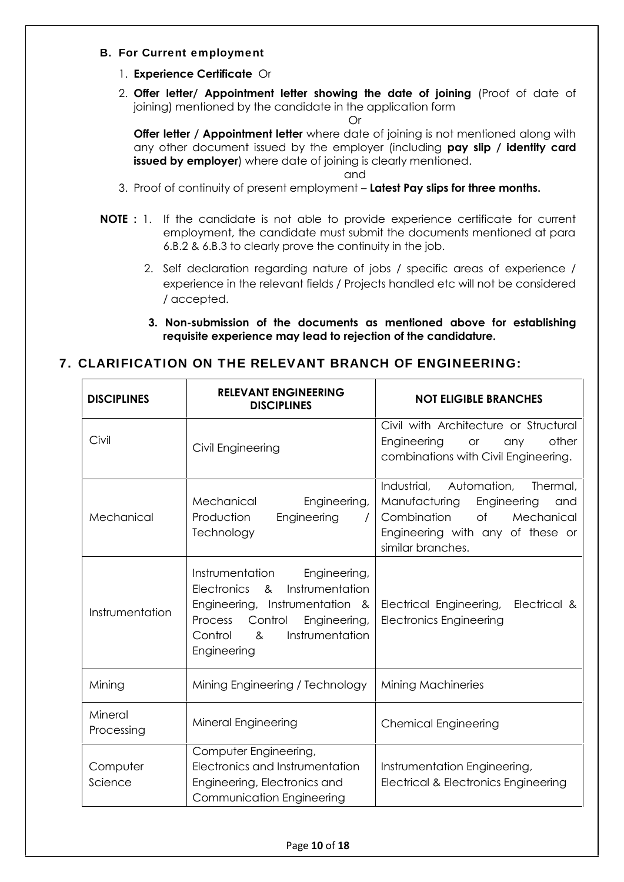#### **B. For Current employment**

- 1. **Experience Certificate** Or
- 2. **Offer letter/ Appointment letter showing the date of joining** (Proof of date of joining) mentioned by the candidate in the application form

Or

**Offer letter / Appointment letter** where date of joining is not mentioned along with any other document issued by the employer (including **pay slip / identity card issued by employer**) where date of joining is clearly mentioned.

and

- 3. Proof of continuity of present employment **Latest Pay slips for three months.**
- **NOTE :** 1. If the candidate is not able to provide experience certificate for current employment, the candidate must submit the documents mentioned at para 6.B.2 & 6.B.3 to clearly prove the continuity in the job.
	- 2. Self declaration regarding nature of jobs / specific areas of experience / experience in the relevant fields / Projects handled etc will not be considered / accepted.
	- **3. Non-submission of the documents as mentioned above for establishing requisite experience may lead to rejection of the candidature.**

## **7. CLARIFICATION ON THE RELEVANT BRANCH OF ENGINEERING:**

| <b>DISCIPLINES</b>    | <b>RELEVANT ENGINEERING</b><br><b>DISCIPLINES</b>                                                                                                                                                                                 | <b>NOT ELIGIBLE BRANCHES</b>                                                                                                                                              |
|-----------------------|-----------------------------------------------------------------------------------------------------------------------------------------------------------------------------------------------------------------------------------|---------------------------------------------------------------------------------------------------------------------------------------------------------------------------|
| Civil                 | Civil Engineering                                                                                                                                                                                                                 | Civil with Architecture or Structural<br>other<br>Engineering<br>or<br>any<br>combinations with Civil Engineering.                                                        |
| Mechanical            | Mechanical<br>Engineering,<br>Production<br>Engineering<br>$\prime$<br>Technology                                                                                                                                                 | Industrial,<br>Automation,<br>Thermal,<br>Manufacturing<br>Engineering<br>and<br>Combination<br>of<br>Mechanical<br>Engineering with any of these or<br>similar branches. |
| Instrumentation       | Instrumentation<br>Engineering,<br>Instrumentation<br><b>Electronics</b><br>8 <sub>x</sub><br>Engineering, Instrumentation &<br>Control<br>Engineering,<br>Process<br>Instrumentation<br>Control<br>8 <sub>z</sub><br>Engineering | Electrical &<br>Electrical Engineering,<br><b>Electronics Engineering</b>                                                                                                 |
| Mining                | Mining Engineering / Technology                                                                                                                                                                                                   | <b>Mining Machineries</b>                                                                                                                                                 |
| Mineral<br>Processing | Mineral Engineering                                                                                                                                                                                                               | <b>Chemical Engineering</b>                                                                                                                                               |
| Computer<br>Science   | Computer Engineering,<br>Electronics and Instrumentation<br>Engineering, Electronics and<br>Communication Engineering                                                                                                             | Instrumentation Engineering,<br><b>Electrical &amp; Electronics Engineering</b>                                                                                           |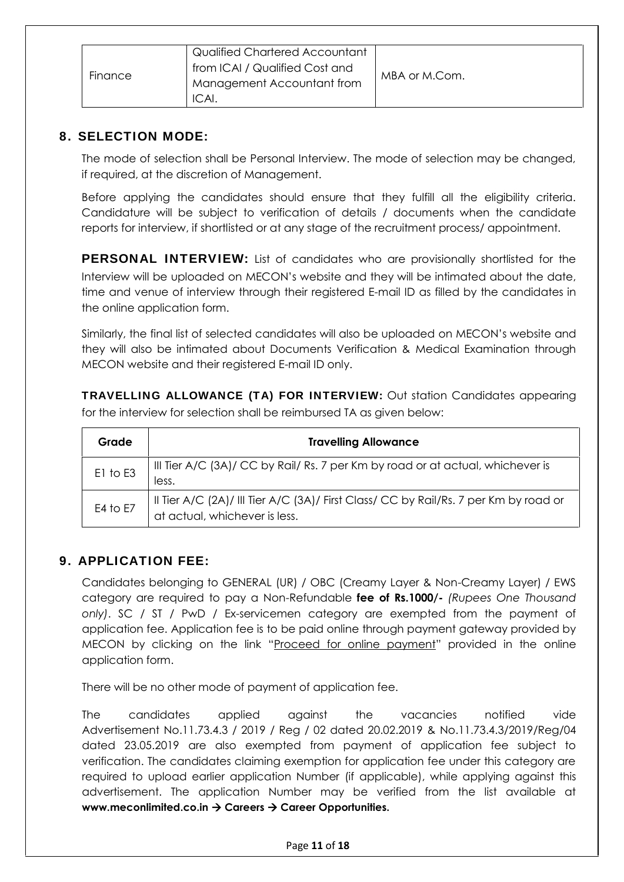|         | Qualified Chartered Accountant |               |
|---------|--------------------------------|---------------|
|         | from ICAI / Qualified Cost and |               |
| Finance | Management Accountant from     | MBA or M.Com. |
|         | ICAI.                          |               |

#### **8. SELECTION MODE:**

The mode of selection shall be Personal Interview. The mode of selection may be changed, if required, at the discretion of Management.

Before applying the candidates should ensure that they fulfill all the eligibility criteria. Candidature will be subject to verification of details / documents when the candidate reports for interview, if shortlisted or at any stage of the recruitment process/ appointment.

**PERSONAL INTERVIEW:** List of candidates who are provisionally shortlisted for the Interview will be uploaded on MECON's website and they will be intimated about the date, time and venue of interview through their registered E-mail ID as filled by the candidates in the online application form.

Similarly, the final list of selected candidates will also be uploaded on MECON's website and they will also be intimated about Documents Verification & Medical Examination through MECON website and their registered E-mail ID only.

**TRAVELLING ALLOWANCE (TA) FOR INTERVIEW:** Out station Candidates appearing for the interview for selection shall be reimbursed TA as given below:

| Grade    | <b>Travelling Allowance</b>                                                                                           |  |  |
|----------|-----------------------------------------------------------------------------------------------------------------------|--|--|
| E1 to E3 | III Tier A/C (3A)/ CC by Rail/ Rs. 7 per Km by road or at actual, whichever is<br>less.                               |  |  |
| E4 to E7 | II Tier A/C (2A)/ III Tier A/C (3A)/ First Class/ CC by Rail/Rs. 7 per Km by road or<br>at actual, whichever is less. |  |  |

## **9. APPLICATION FEE:**

Candidates belonging to GENERAL (UR) / OBC (Creamy Layer & Non-Creamy Layer) / EWS category are required to pay a Non-Refundable **fee of Rs.1000/-** *(Rupees One Thousand only)*. SC / ST / PwD / Ex-servicemen category are exempted from the payment of application fee. Application fee is to be paid online through payment gateway provided by MECON by clicking on the link "Proceed for online payment" provided in the online application form.

There will be no other mode of payment of application fee.

The candidates applied against the vacancies notified vide Advertisement No.11.73.4.3 / 2019 / Reg / 02 dated 20.02.2019 & No.11.73.4.3/2019/Reg/04 dated 23.05.2019 are also exempted from payment of application fee subject to verification. The candidates claiming exemption for application fee under this category are required to upload earlier application Number (if applicable), while applying against this advertisement. The application Number may be verified from the list available at **www.meconlimited.co.in Careers Career Opportunities.**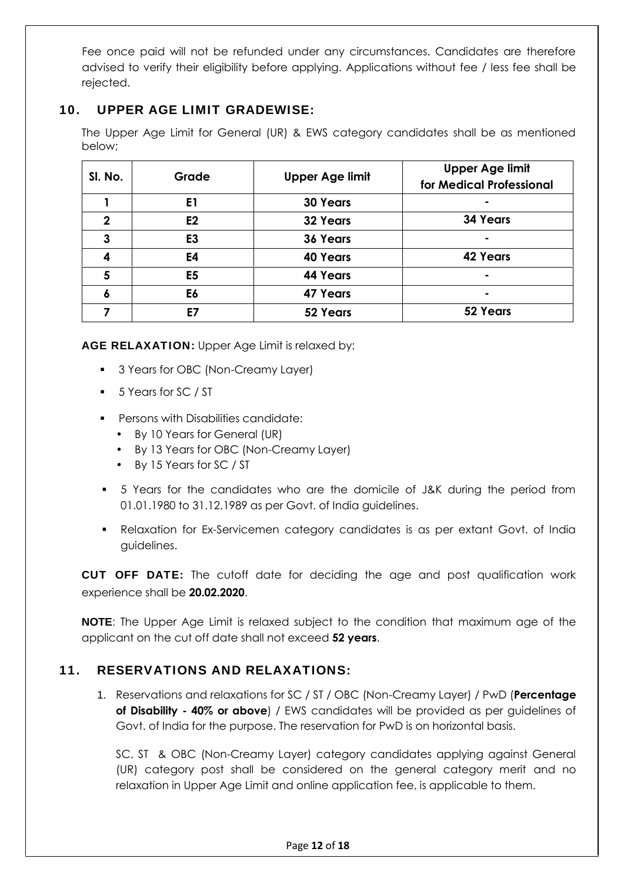Fee once paid will not be refunded under any circumstances. Candidates are therefore advised to verify their eligibility before applying. Applications without fee / less fee shall be rejected.

## **10. UPPER AGE LIMIT GRADEWISE:**

The Upper Age Limit for General (UR) & EWS category candidates shall be as mentioned below;

| SI. No.     | Grade          | <b>Upper Age limit</b> | <b>Upper Age limit</b><br>for Medical Professional |
|-------------|----------------|------------------------|----------------------------------------------------|
|             | E <sub>1</sub> | <b>30 Years</b>        | ۰                                                  |
| $\mathbf 2$ | E2             | <b>32 Years</b>        | <b>34 Years</b>                                    |
| 3           | E <sub>3</sub> | <b>36 Years</b>        | ۰                                                  |
| 4           | E4             | <b>40 Years</b>        | <b>42 Years</b>                                    |
| 5           | E <sub>5</sub> | <b>44 Years</b>        | ۰                                                  |
| 6           | E6             | <b>47 Years</b>        | ۰                                                  |
|             | Ε7             | 52 Years               | 52 Years                                           |

**AGE RELAXATION:** Upper Age Limit is relaxed by:

- **3 Years for OBC (Non-Creamy Layer)**
- 5 Years for SC / ST
- **Persons with Disabilities candidate:** 
	- By 10 Years for General (UR)
	- By 13 Years for OBC (Non-Creamy Layer)
	- By 15 Years for SC / ST
- 5 Years for the candidates who are the domicile of J&K during the period from 01.01.1980 to 31.12.1989 as per Govt. of India guidelines.
- Relaxation for Ex-Servicemen category candidates is as per extant Govt. of India guidelines.

**CUT OFF DATE:** The cutoff date for deciding the age and post qualification work experience shall be **20.02.2020**.

**NOTE:** The Upper Age Limit is relaxed subject to the condition that maximum age of the applicant on the cut off date shall not exceed **52 years**.

## **11. RESERVATIONS AND RELAXATIONS:**

1. Reservations and relaxations for SC / ST / OBC (Non-Creamy Layer) / PwD (**Percentage of Disability - 40% or above**) / EWS candidates will be provided as per guidelines of Govt. of India for the purpose. The reservation for PwD is on horizontal basis.

SC, ST & OBC (Non-Creamy Layer) category candidates applying against General (UR) category post shall be considered on the general category merit and no relaxation in Upper Age Limit and online application fee, is applicable to them.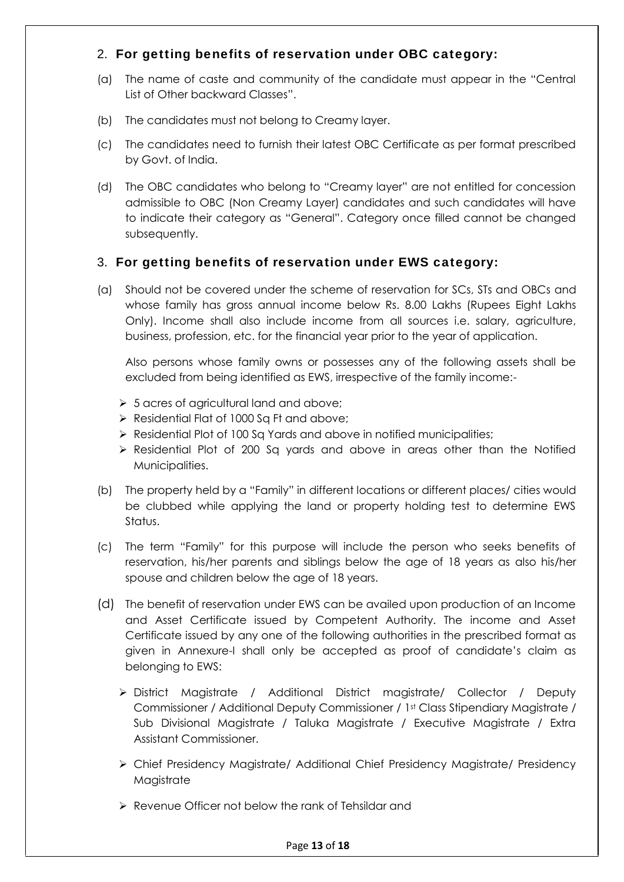## 2. **For getting benefits of reservation under OBC category:**

- (a) The name of caste and community of the candidate must appear in the "Central List of Other backward Classes".
- (b) The candidates must not belong to Creamy layer.
- (c) The candidates need to furnish their latest OBC Certificate as per format prescribed by Govt. of India.
- (d) The OBC candidates who belong to "Creamy layer" are not entitled for concession admissible to OBC (Non Creamy Layer) candidates and such candidates will have to indicate their category as "General". Category once filled cannot be changed subsequently.

#### 3. **For getting benefits of reservation under EWS category:**

(a) Should not be covered under the scheme of reservation for SCs, STs and OBCs and whose family has gross annual income below Rs. 8.00 Lakhs (Rupees Eight Lakhs Only). Income shall also include income from all sources i.e. salary, agriculture, business, profession, etc. for the financial year prior to the year of application.

Also persons whose family owns or possesses any of the following assets shall be excluded from being identified as EWS, irrespective of the family income:-

- $\geq 5$  acres of agricultural land and above;
- $\triangleright$  Residential Flat of 1000 Sa Ft and above;
- $\triangleright$  Residential Plot of 100 Sq Yards and above in notified municipalities;
- Residential Plot of 200 Sq yards and above in areas other than the Notified Municipalities.
- (b) The property held by a "Family" in different locations or different places/ cities would be clubbed while applying the land or property holding test to determine EWS Status.
- (c) The term "Family" for this purpose will include the person who seeks benefits of reservation, his/her parents and siblings below the age of 18 years as also his/her spouse and children below the age of 18 years.
- (d) The benefit of reservation under EWS can be availed upon production of an Income and Asset Certificate issued by Competent Authority. The income and Asset Certificate issued by any one of the following authorities in the prescribed format as given in Annexure-I shall only be accepted as proof of candidate's claim as belonging to EWS:
	- District Magistrate / Additional District magistrate/ Collector / Deputy Commissioner / Additional Deputy Commissioner / 1st Class Stipendiary Magistrate / Sub Divisional Magistrate / Taluka Magistrate / Executive Magistrate / Extra Assistant Commissioner.
	- Chief Presidency Magistrate/ Additional Chief Presidency Magistrate/ Presidency Magistrate
	- Revenue Officer not below the rank of Tehsildar and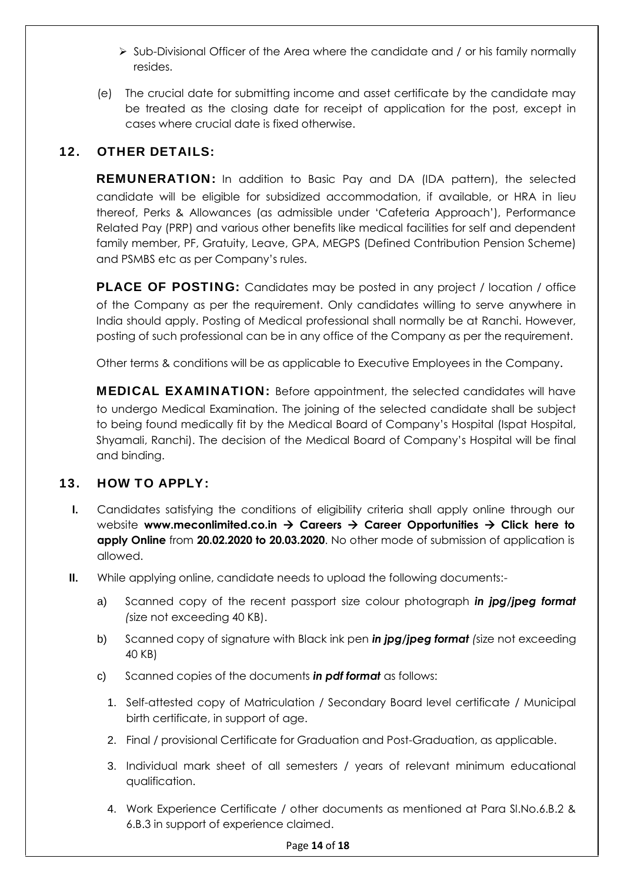- $\triangleright$  Sub-Divisional Officer of the Area where the candidate and / or his family normally resides.
- (e) The crucial date for submitting income and asset certificate by the candidate may be treated as the closing date for receipt of application for the post, except in cases where crucial date is fixed otherwise.

# **12. OTHER DETAILS:**

**REMUNERATION:** In addition to Basic Pay and DA (IDA pattern), the selected candidate will be eligible for subsidized accommodation, if available, or HRA in lieu thereof, Perks & Allowances (as admissible under 'Cafeteria Approach'), Performance Related Pay (PRP) and various other benefits like medical facilities for self and dependent family member, PF, Gratuity, Leave, GPA, MEGPS (Defined Contribution Pension Scheme) and PSMBS etc as per Company's rules.

**PLACE OF POSTING:** Candidates may be posted in any project / location / office of the Company as per the requirement. Only candidates willing to serve anywhere in India should apply. Posting of Medical professional shall normally be at Ranchi. However, posting of such professional can be in any office of the Company as per the requirement.

Other terms & conditions will be as applicable to Executive Employees in the Company.

**MEDICAL EXAMINATION:** Before appointment, the selected candidates will have to undergo Medical Examination. The joining of the selected candidate shall be subject to being found medically fit by the Medical Board of Company's Hospital (Ispat Hospital, Shyamali, Ranchi). The decision of the Medical Board of Company's Hospital will be final and binding.

# **13. HOW TO APPLY:**

- **I.** Candidates satisfying the conditions of eligibility criteria shall apply online through our website www.meconlimited.co.in  $\rightarrow$  Careers  $\rightarrow$  Career Opportunities  $\rightarrow$  Click here to **apply Online** from **20.02.2020 to 20.03.2020**. No other mode of submission of application is allowed.
- **II.** While applying online, candidate needs to upload the following documents:
	- a) Scanned copy of the recent passport size colour photograph *in jpg/jpeg format (*size not exceeding 40 KB).
	- b) Scanned copy of signature with Black ink pen *in jpg/jpeg format (*size not exceeding 40 KB)
	- c) Scanned copies of the documents *in pdf format* as follows:
		- 1. Self-attested copy of Matriculation / Secondary Board level certificate / Municipal birth certificate, in support of age.
		- 2. Final / provisional Certificate for Graduation and Post-Graduation, as applicable.
		- 3. Individual mark sheet of all semesters / years of relevant minimum educational qualification.
		- 4. Work Experience Certificate / other documents as mentioned at Para Sl.No.6.B.2 & 6.B.3 in support of experience claimed.

#### Page **14** of **18**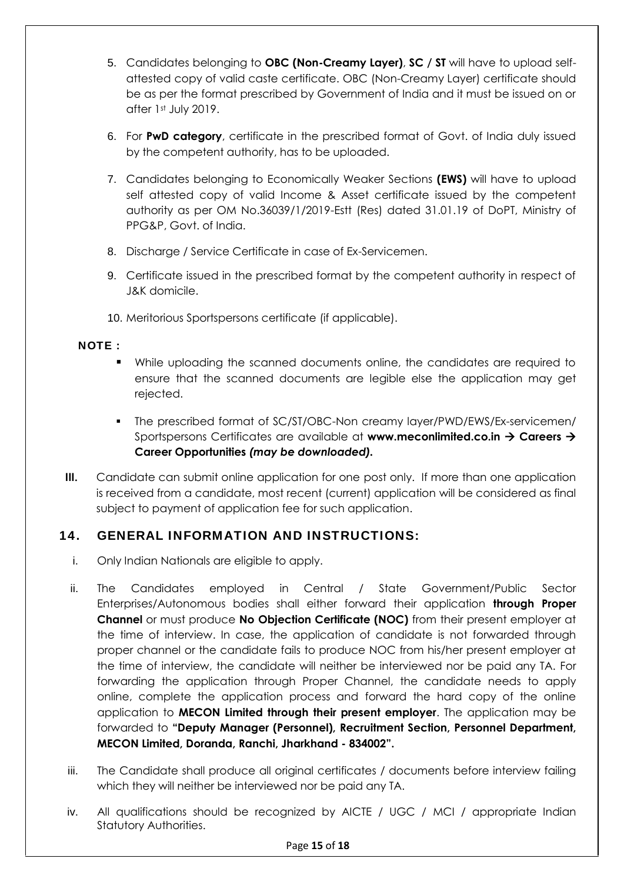- 5. Candidates belonging to **OBC (Non-Creamy Layer)**, **SC / ST** will have to upload self attested copy of valid caste certificate. OBC (Non-Creamy Layer) certificate should be as per the format prescribed by Government of India and it must be issued on or after 1st July 2019.
- 6. For **PwD category**, certificate in the prescribed format of Govt. of India duly issued by the competent authority, has to be uploaded.
- 7. Candidates belonging to Economically Weaker Sections **(EWS)** will have to upload self attested copy of valid Income & Asset certificate issued by the competent authority as per OM No.36039/1/2019-Estt (Res) dated 31.01.19 of DoPT, Ministry of PPG&P, Govt. of India.
- 8. Discharge / Service Certificate in case of Ex-Servicemen.
- 9. Certificate issued in the prescribed format by the competent authority in respect of J&K domicile.
- 10. Meritorious Sportspersons certificate (if applicable).

#### **NOTE :**

- While uploading the scanned documents online, the candidates are required to ensure that the scanned documents are legible else the application may get rejected.
- The prescribed format of SC/ST/OBC-Non creamy layer/PWD/EWS/Ex-servicemen/ Sportspersons Certificates are available at **www.meconlimited.co.in Careers Career Opportunities** *(may be downloaded).*
- **III.** Candidate can submit online application for one post only. If more than one application is received from a candidate, most recent (current) application will be considered as final subject to payment of application fee for such application.

## **14. GENERAL INFORMATION AND INSTRUCTIONS:**

- i. Only Indian Nationals are eligible to apply.
- ii. The Candidates employed in Central / State Government/Public Sector Enterprises/Autonomous bodies shall either forward their application **through Proper Channel** or must produce **No Objection Certificate (NOC)** from their present employer at the time of interview. In case, the application of candidate is not forwarded through proper channel or the candidate fails to produce NOC from his/her present employer at the time of interview, the candidate will neither be interviewed nor be paid any TA. For forwarding the application through Proper Channel, the candidate needs to apply online, complete the application process and forward the hard copy of the online application to **MECON Limited through their present employer**. The application may be forwarded to **"Deputy Manager (Personnel), Recruitment Section, Personnel Department, MECON Limited, Doranda, Ranchi, Jharkhand - 834002".**
- iii. The Candidate shall produce all original certificates / documents before interview failing which they will neither be interviewed nor be paid any TA.
- iv. All qualifications should be recognized by AICTE / UGC / MCI / appropriate Indian Statutory Authorities.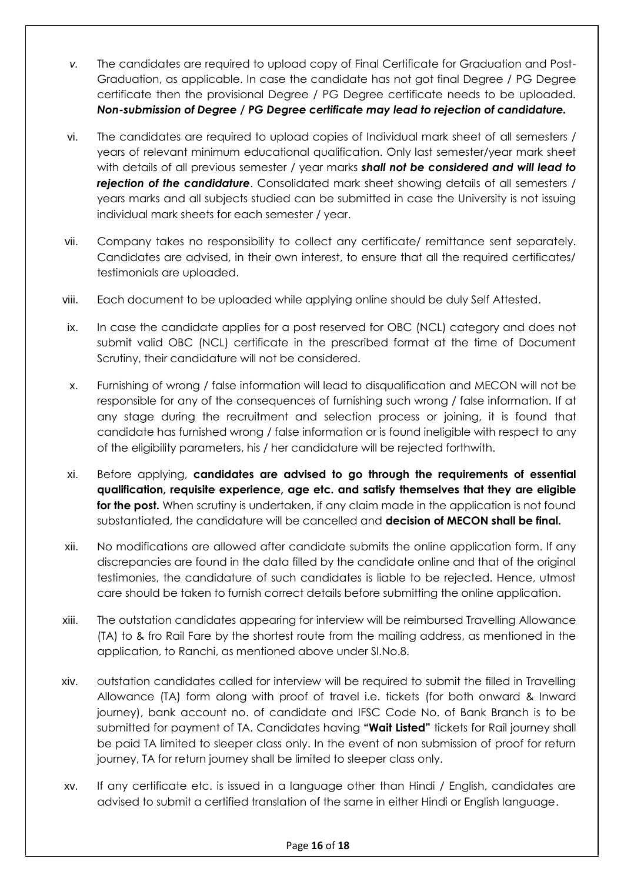- *v.* The candidates are required to upload copy of Final Certificate for Graduation and Post- Graduation, as applicable. In case the candidate has not got final Degree / PG Degree certificate then the provisional Degree / PG Degree certificate needs to be uploaded. *Non-submission of Degree / PG Degree certificate may lead to rejection of candidature.*
- vi. The candidates are required to upload copies of Individual mark sheet of all semesters / years of relevant minimum educational qualification. Only last semester/year mark sheet with details of all previous semester / year marks *shall not be considered and will lead to rejection of the candidature*. Consolidated mark sheet showing details of all semesters / years marks and all subjects studied can be submitted in case the University is not issuing individual mark sheets for each semester / year.
- vii. Company takes no responsibility to collect any certificate/ remittance sent separately. Candidates are advised, in their own interest, to ensure that all the required certificates/ testimonials are uploaded.
- viii. Each document to be uploaded while applying online should be duly Self Attested.
- ix. In case the candidate applies for a post reserved for OBC (NCL) category and does not submit valid OBC (NCL) certificate in the prescribed format at the time of Document Scrutiny, their candidature will not be considered.
- x. Furnishing of wrong / false information will lead to disqualification and MECON will not be responsible for any of the consequences of furnishing such wrong / false information. If at any stage during the recruitment and selection process or joining, it is found that candidate has furnished wrong / false information or is found ineligible with respect to any of the eligibility parameters, his / her candidature will be rejected forthwith.
- xi. Before applying, **candidates are advised to go through the requirements of essential qualification, requisite experience, age etc. and satisfy themselves that they are eligible for the post.** When scrutiny is undertaken, if any claim made in the application is not found substantiated, the candidature will be cancelled and **decision of MECON shall be final.**
- xii. No modifications are allowed after candidate submits the online application form. If any discrepancies are found in the data filled by the candidate online and that of the original testimonies, the candidature of such candidates is liable to be rejected. Hence, utmost care should be taken to furnish correct details before submitting the online application.
- xiii. The outstation candidates appearing for interview will be reimbursed Travelling Allowance (TA) to & fro Rail Fare by the shortest route from the mailing address, as mentioned in the application, to Ranchi, as mentioned above under Sl.No.8.
- xiv. Outstation candidates called for interview will be required to submit the filled in Travelling Allowance (TA) form along with proof of travel i.e. tickets (for both onward & Inward journey), bank account no. of candidate and IFSC Code No. of Bank Branch is to be submitted for payment of TA. Candidates having **"Wait Listed"** tickets for Rail journey shall be paid TA limited to sleeper class only. In the event of non submission of proof for return journey, TA for return journey shall be limited to sleeper class only.
- xv. If any certificate etc. is issued in a language other than Hindi / English, candidates are advised to submit a certified translation of the same in either Hindi or English language.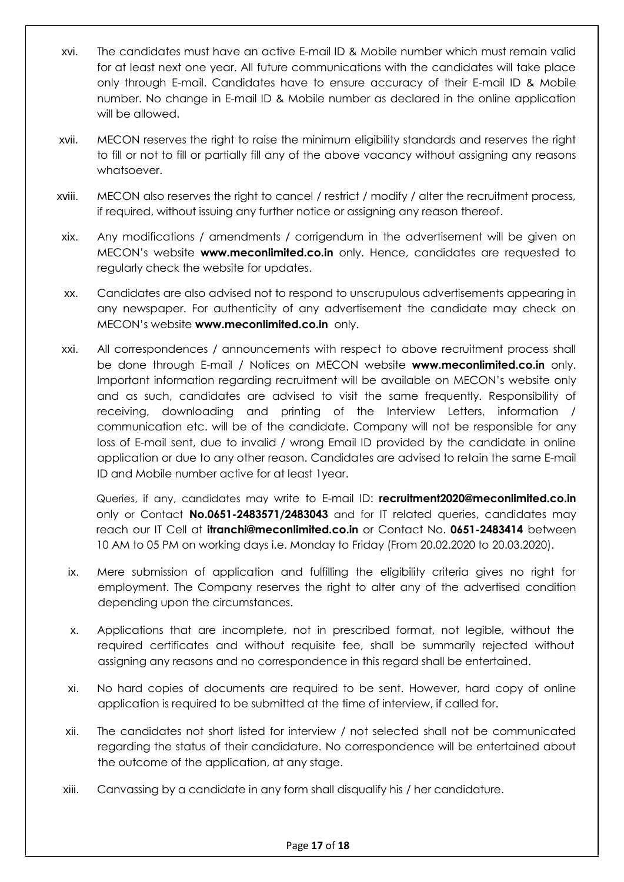- xvi. The candidates must have an active E-mail ID & Mobile number which must remain valid for at least next one year. All future communications with the candidates will take place only through E-mail. Candidates have to ensure accuracy of their E-mail ID & Mobile number. No change in E-mail ID & Mobile number as declared in the online application will be allowed.
- xvii. MECON reserves the right to raise the minimum eligibility standards and reserves the right to fill or not to fill or partially fill any of the above vacancy without assigning any reasons whatsoever.
- xviii. MECON also reserves the right to cancel / restrict / modify / alter the recruitment process, if required, without issuing any further notice or assigning any reason thereof.
- xix. Any modifications / amendments / corrigendum in the advertisement will be given on MECON's website **www.meconlimited.co.in** only. Hence, candidates are requested to regularly check the website for updates.
- xx. Candidates are also advised not to respond to unscrupulous advertisements appearing in any newspaper. For authenticity of any advertisement the candidate may check on MECON's website **www.meconlimited.co.in** only.
- xxi. All correspondences / announcements with respect to above recruitment process shall be done through E-mail / Notices on MECON website **www.meconlimited.co.in** only. Important information regarding recruitment will be available on MECON's website only and as such, candidates are advised to visit the same frequently. Responsibility of receiving, downloading and printing of the Interview Letters, information / communication etc. will be of the candidate. Company will not be responsible for any loss of E-mail sent, due to invalid / wrong Email ID provided by the candidate in online application or due to any other reason. Candidates are advised to retain the same E-mail ID and Mobile number active for at least 1year.

Queries, if any, candidates may write to E-mail ID: **recruitment2020@meconlimited.co.in** only or Contact **No.0651-2483571/2483043** and for IT related queries, candidates may reach our IT Cell at **itranchi@meconlimited.co.in** or Contact No. **0651-2483414** between 10 AM to 05 PM on working days i.e. Monday to Friday (From 20.02.2020 to 20.03.2020).

- ix. Mere submission of application and fulfilling the eligibility criteria gives no right for employment. The Company reserves the right to alter any of the advertised condition depending upon the circumstances.
- x. Applications that are incomplete, not in prescribed format, not legible, without the required certificates and without requisite fee, shall be summarily rejected without assigning any reasons and no correspondence in this regard shall be entertained.
- xi. No hard copies of documents are required to be sent. However, hard copy of online application is required to be submitted at the time of interview, if called for.
- xii. The candidates not short listed for interview / not selected shall not be communicated regarding the status of their candidature. No correspondence will be entertained about the outcome of the application, at any stage.
- xiii. Canvassing by a candidate in any form shall disqualify his / her candidature.